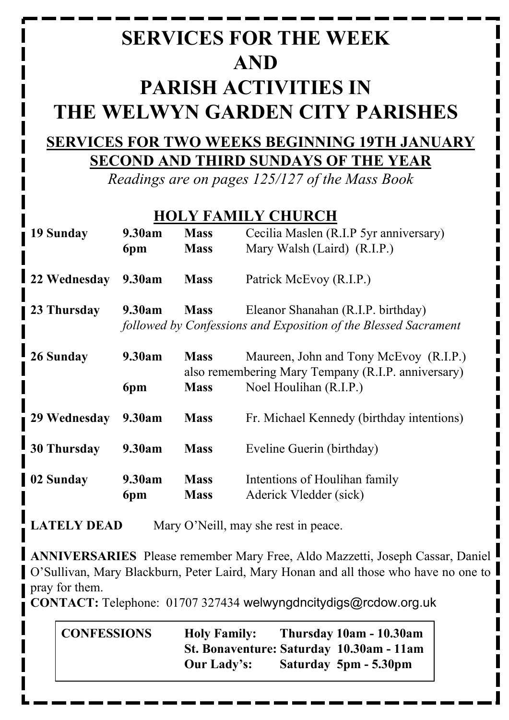# **SERVICES FOR THE WEEK AND PARISH ACTIVITIES IN THE WELWYN GARDEN CITY PARISHES**

## **SERVICES FOR TWO WEEKS BEGINNING 19TH JANUARY SECOND AND THIRD SUNDAYS OF THE YEAR**

*Readings are on pages 125/127 of the Mass Book*

#### **HOLY FAMILY CHURCH**

| 19 Sunday          | 9.30am        | <b>Mass</b>                | Cecilia Maslen (R.I.P 5yr anniversary)                                                                                 |
|--------------------|---------------|----------------------------|------------------------------------------------------------------------------------------------------------------------|
|                    | 6pm           | <b>Mass</b>                | Mary Walsh (Laird) (R.I.P.)                                                                                            |
| 22 Wednesday       | 9.30am        | <b>Mass</b>                | Patrick McEvoy (R.I.P.)                                                                                                |
| 23 Thursday        | 9.30am        | <b>Mass</b>                | Eleanor Shanahan (R.I.P. birthday)<br>followed by Confessions and Exposition of the Blessed Sacrament                  |
| 26 Sunday          | 9.30am<br>6pm | <b>Mass</b><br><b>Mass</b> | Maureen, John and Tony McEvoy (R.I.P.)<br>also remembering Mary Tempany (R.I.P. anniversary)<br>Noel Houlihan (R.I.P.) |
| 29 Wednesday       | 9.30am        | <b>Mass</b>                | Fr. Michael Kennedy (birthday intentions)                                                                              |
| <b>30 Thursday</b> | 9.30am        | <b>Mass</b>                | Eveline Guerin (birthday)                                                                                              |
| 02 Sunday          | 9.30am<br>6pm | <b>Mass</b><br><b>Mass</b> | Intentions of Houlihan family<br>Aderick Vledder (sick)                                                                |

**LATELY DEAD** Mary O'Neill, may she rest in peace.

**ANNIVERSARIES** Please remember Mary Free, Aldo Mazzetti, Joseph Cassar, Daniel O'Sullivan, Mary Blackburn, Peter Laird, Mary Honan and all those who have no one to pray for them.

**CONTACT:** Telephone: 01707 327434 welwyngdncitydigs@rcdow.org.uk

| <b>CONFESSIONS</b> | <b>Holy Family:</b>                      | Thursday 10am - 10.30am |
|--------------------|------------------------------------------|-------------------------|
|                    | St. Bonaventure: Saturday 10.30am - 11am |                         |
|                    | Our Lady's:                              | Saturday 5pm - 5.30pm   |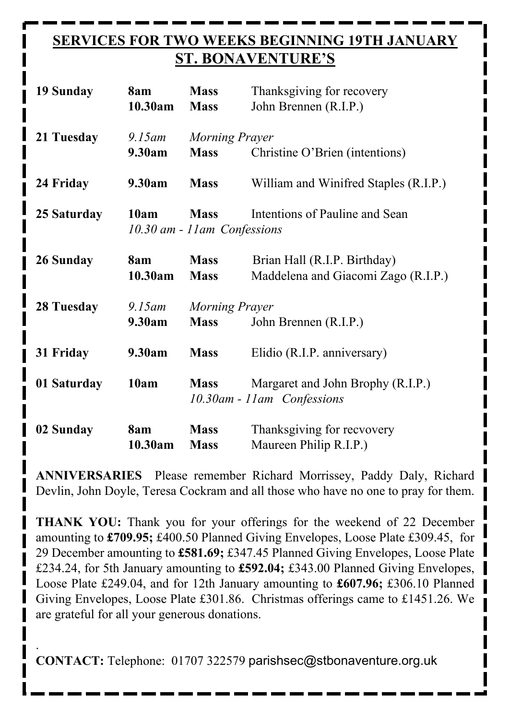### **SERVICES FOR TWO WEEKS BEGINNING 19TH JANUARY ST. BONAVENTURE'S**

| 19 Sunday         | 8am<br>10.30am               | <b>Mass</b><br><b>Mass</b> | Thanksgiving for recovery<br>John Brennen (R.I.P.) |  |
|-------------------|------------------------------|----------------------------|----------------------------------------------------|--|
| 21 Tuesday        | $9.15$ am                    | Morning Prayer             |                                                    |  |
|                   | 9.30am                       | <b>Mass</b>                | Christine O'Brien (intentions)                     |  |
| 24 Friday         | 9.30am                       | <b>Mass</b>                | William and Winifred Staples (R.I.P.)              |  |
| 25 Saturday       | 10am                         | <b>Mass</b>                | Intentions of Pauline and Sean                     |  |
|                   | 10.30 am - 11 am Confessions |                            |                                                    |  |
| 26 Sunday         | 8am                          | <b>Mass</b>                | Brian Hall (R.I.P. Birthday)                       |  |
|                   | 10.30am                      | <b>Mass</b>                | Maddelena and Giacomi Zago (R.I.P.)                |  |
| <b>28 Tuesday</b> | $9.15$ am                    | Morning Prayer             |                                                    |  |
|                   | 9.30am                       | <b>Mass</b>                | John Brennen (R.I.P.)                              |  |
| 31 Friday         | 9.30am                       | <b>Mass</b>                | Elidio (R.I.P. anniversary)                        |  |
| 01 Saturday       | 10am                         | <b>Mass</b>                | Margaret and John Brophy (R.I.P.)                  |  |
|                   |                              | 10.30am - 11am Confessions |                                                    |  |
| 02 Sunday         | 8am                          | <b>Mass</b>                | Thanksgiving for recvovery                         |  |
|                   | 10.30am                      | <b>Mass</b>                | Maureen Philip R.I.P.)                             |  |

**ANNIVERSARIES** Please remember Richard Morrissey, Paddy Daly, Richard Devlin, John Doyle, Teresa Cockram and all those who have no one to pray for them.

**THANK YOU:** Thank you for your offerings for the weekend of 22 December amounting to **£709.95;** £400.50 Planned Giving Envelopes, Loose Plate £309.45, for 29 December amounting to **£581.69;** £347.45 Planned Giving Envelopes, Loose Plate £234.24, for 5th January amounting to **£592.04;** £343.00 Planned Giving Envelopes, Loose Plate £249.04, and for 12th January amounting to **£607.96;** £306.10 Planned Giving Envelopes, Loose Plate £301.86. Christmas offerings came to £1451.26. We are grateful for all your generous donations.

. **CONTACT:** Telephone: 01707 322579 parishsec@stbonaventure.org.uk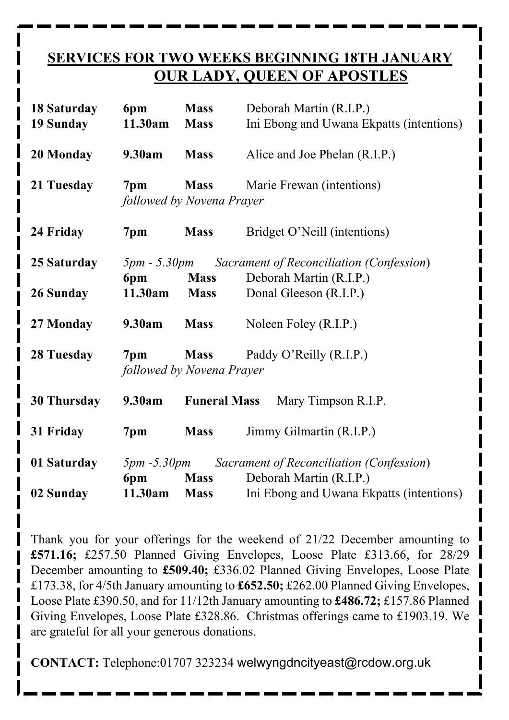#### **SERVICES FOR TWO WEEKS BEGINNING 18TH JANUARY OUR LADY, QUEEN OF APOSTLES**

| 18 Saturday<br><b>19 Sunday</b> | 6pm<br>11.30am  | <b>Mass</b><br><b>Mass</b>               | Deborah Martin (R.I.P.)<br>Ini Ebong and Uwana Ekpatts (intentions)                     |
|---------------------------------|-----------------|------------------------------------------|-----------------------------------------------------------------------------------------|
| 20 Monday                       | 9.30am          | <b>Mass</b>                              | Alice and Joe Phelan (R.I.P.)                                                           |
| 21 Tuesday                      | 7 <sub>pm</sub> | <b>Mass</b><br>followed by Novena Prayer | Marie Frewan (intentions)                                                               |
| 24 Friday                       | 7pm             | <b>Mass</b>                              | Bridget O'Neill (intentions)                                                            |
| 25 Saturday                     | 6pm             | <b>Mass</b>                              | <b>5pm - 5.30pm</b> Sacrament of Reconciliation (Confession)<br>Deborah Martin (R.I.P.) |
| 26 Sunday                       | 11.30am         | <b>Mass</b>                              | Donal Gleeson (R.I.P.)                                                                  |
| 27 Monday                       | 9.30am          | <b>Mass</b>                              | Noleen Foley (R.I.P.)                                                                   |
| 28 Tuesday                      | 7pm             | <b>Mass</b><br>followed by Novena Prayer | Paddy O'Reilly (R.I.P.)                                                                 |
| <b>30 Thursday</b>              | 9.30am          | <b>Funeral Mass</b>                      | Mary Timpson R.I.P.                                                                     |
| 31 Friday                       | 7pm             | <b>Mass</b>                              | Jimmy Gilmartin (R.I.P.)                                                                |
| 01 Saturday                     | 6pm             | <b>Mass</b>                              | <b>5pm -5.30pm</b> Sacrament of Reconciliation (Confession)<br>Deborah Martin (R.I.P.)  |
| 02 Sunday                       | 11.30am         | <b>Mass</b>                              | Ini Ebong and Uwana Ekpatts (intentions)                                                |

Thank you for your offerings for the weekend of 21/22 December amounting to **£571.16;** £257.50 Planned Giving Envelopes, Loose Plate £313.66, for 28/29 December amounting to **£509.40;** £336.02 Planned Giving Envelopes, Loose Plate £173.38, for 4/5th January amounting to **£652.50;** £262.00 Planned Giving Envelopes, Loose Plate £390.50, and for 11/12th January amounting to **£486.72;** £157.86 Planned Giving Envelopes, Loose Plate £328.86. Christmas offerings came to £1903.19. We are grateful for all your generous donations.

**CONTACT:** Telephone:01707 323234 welwyngdncityeast@rcdow.org.uk